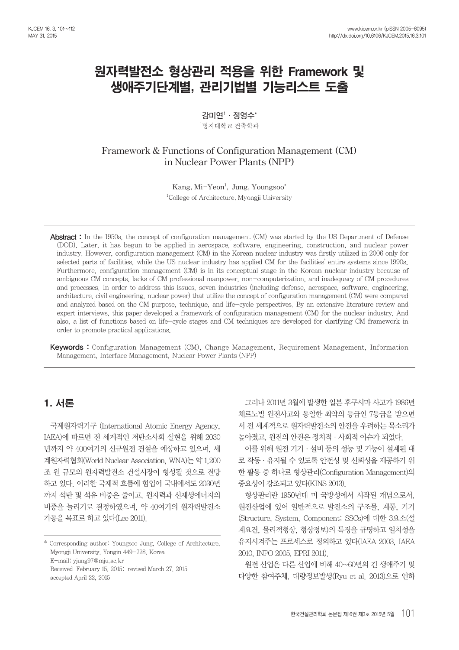# 원자력발전소 형상관리 적용을 위한 Framework 및 생애주기단계별, 관리기법별 기능리스트 도출

**강미연1 ·정영수\***

 $^1$ 명지대학교 건축학과

**Framework & Functions of Configuration Management (CM) in Nuclear Power Plants (NPP)** 

> Kang, Mi-Yeon<sup>1</sup>, Jung, Youngsoo<sup>\*</sup> 1 College of Architecture, Myongji University

Abstract : In the 1950s, the concept of configuration management (CM) was started by the US Department of Defense (DOD). Later, it has begun to be applied in aerospace, software, engineering, construction, and nuclear power industry. However, configuration management (CM) in the Korean nuclear industry was firstly utilized in 2006 only for selected parts of facilities, while the US nuclear industry has applied CM for the facilities' entire systems since 1990s. Furthermore, configuration management (CM) is in its conceptual stage in the Korean nuclear industry because of ambiguous CM concepts, lacks of CM professional manpower, non-computerization, and inadequacy of CM procedures and processes. In order to address this issues, seven industries (including defense, aerospace, software, engineering, architecture, civil engineering, nuclear power) that utilize the concept of configuration management (CM) were compared and analyzed based on the CM purpose, technique, and life-cycle perspectives. By an extensive literature review and expert interviews, this paper developed a framework of configuration management (CM) for the nuclear industry. And also, a list of functions based on life-cycle stages and CM techniques are developed for clarifying CM framework in order to promote practical applications.

Keywords : Configuration Management (CM), Change Management, Requirement Management, Information Management, Interface Management, Nuclear Power Plants (NPP)

# 1. 서론

국제원자력기구 (International Atomic Energy Agency, IAEA)에 따르면 전 세계적인 저탄소사회 실현을 위해 2030 년까지 약 400여기의 신규원전 건설을 예상하고 있으며, 세 계원자력협회(World Nuclear Association, WNA)는 약 1,200 조 원 규모의 원자력발전소 건설시장이 형성될 것으로 전망 하고 있다. 이러한 국제적 흐름에 힘입어 국내에서도 2030년 까지 석탄 및 석유 비중은 줄이고, 원자력과 신재생에너지의 비중을 늘리기로 결정하였으며, 약 40여기의 원자력발전소 가동을 목표로 하고 있다(Lee 2011).

그러나 2011년 3월에 발생한 일본 후쿠시마 사고가 1986년 체르노빌 원전사고와 동일한 최악의 등급인 7등급을 받으면 서 전 세계적으로 원자력발전소의 안전을 우려하는 목소리가 높아졌고, 원전의 안전은 정치적·사회적 이슈가 되었다.

이를 위해 원전 기기·설비 등의 성능 및 기능이 설계된 대 로 작동·유지될 수 있도록 안전성 및 신뢰성을 제공하기 위 한 활동 중 하나로 형상관리(Configuration Management)의 중요성이 강조되고 있다(KINS 2013).

형상관리란 1950년대 미 국방성에서 시작된 개념으로서, 원전산업에 있어 일반적으로 발전소의 구조물, 계통, 기기 (Structure, System, Component; SSCs)에 대한 3요소(설 계요건, 물리적형상, 형상정보)의 특징을 규명하고 일치성을 유지시켜주는 프로세스로 정의하고 있다(IAEA 2003, IAEA 2010, INPO 2005, EPRI 2011).

원전 산업은 다른 산업에 비해 40~60년의 긴 생애주기 및 다양한 참여주체, 대량정보발생(Ryu et al. 2013)으로 인하

<sup>\*</sup> Corresponding author: Youngsoo Jung, College of Architecture, Myongji University, Yongin 449-728, Korea E-mail: yjung97@mju.ac.kr Received February 15, 2015: revised March 27, 2015 accepted April 22, 2015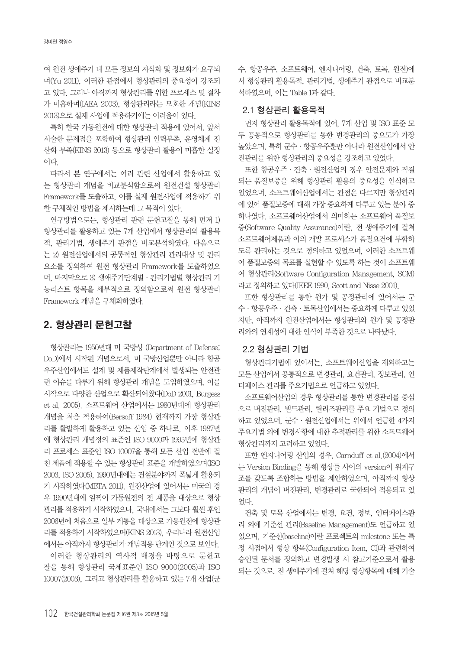여 원전 생애주기 내 모든 정보의 지식화 및 정보화가 요구되 며(Yu 2011), 이러한 관점에서 형상관리의 중요성이 강조되 고 있다. 그러나 아직까지 형상관리를 위한 프로세스 및 절차 가 미흡하며(IAEA 2003), 형상관리라는 모호한 개념(KINS 2013)으로 실제 사업에 적용하기에는 어려움이 있다.

특히 한국 가동원전에 대한 형상관리 적용에 있어서, 앞서 서술한 문제점을 포함하여 형상관리 인력부족, 운영체계 전 산화 부족(KINS 2013) 등으로 형상관리 활용이 미흡한 실정 이다.

따라서 본 연구에서는 여러 관련 산업에서 활용하고 있 는 형상관리 개념을 비교분석함으로써 원전건설 형상관리 Framework를 도출하고, 이를 실제 원전사업에 적용하기 위 한 구체적인 방법을 제시하는데 그 목적이 있다.

연구방법으로는, 형상관리 관련 문헌고찰을 통해 먼저 1) 형상관리를 활용하고 있는 7개 산업에서 형상관리의 활용목 적, 관리기법, 생애주기 관점을 비교분석하였다. 다음으로 는 2) 원전산업에서의 공통적인 형상관리 관리대상 및 관리 요소를 정의하여 원전 형상관리 Framework를 도출하였으 며, 마지막으로 3) 생애주기단계별·관리기법별 형상관리 기 능리스트 항목을 세부적으로 정의함으로써 원전 형상관리 Framework 개념을 구체화하였다.

# 2. 형상관리 문헌고찰

형상관리는 1950년대 미 국방성 (Department of Defense; DoD)에서 시작된 개념으로서, 미 국방산업뿐만 아니라 항공 우주산업에서도 설계 및 제품제작단계에서 발생되는 안전관 련 이슈를 다루기 위해 형상관리 개념을 도입하였으며, 이를 시작으로 다양한 산업으로 확산되어왔다(DoD 2001, Burgess et al. 2005). 소프트웨어 산업에서는 1980년대에 형상관리 개념을 처음 적용하여(Bersoff 1984) 현재까지 가장 형상관 리를 활발하게 활용하고 있는 산업 중 하나로, 이후 1987년 에 형상관리 개념정의 표준인 ISO 9000과 1995년에 형상관 리 프로세스 표준인 ISO 10007을 통해 모든 산업 전반에 걸 친 제품에 적용할 수 있는 형상관리 표준을 개발하였으며(ISO 2003, ISO 2005), 1990년대에는 건설분야까지 폭넓게 활용되 기 시작하였다(MBTA 2011). 원전산업에 있어서는 미국의 경 우 1990년대에 일찍이 가동원전의 전 계통을 대상으로 형상 관리를 적용하기 시작하였으나, 국내에서는 그보다 훨씬 후인 2006년에 처음으로 일부 계통을 대상으로 가동원전에 형상관 리를 적용하기 시작하였으며(KINS 2013), 우리나라 원전산업 에서는 아직까지 형상관리가 개념적용 단계인 것으로 보인다. 이러한 형상관리의 역사적 배경을 바탕으로 문헌고 찰을 통해 형상관리 국제표준인 ISO 9000(2005)과 ISO 10007(2003), 그리고 형상관리를 활용하고 있는 7개 산업(군 수, 항공우주, 소프트웨어, 엔지니어링, 건축, 토목, 원전)에 서 형상관리 활용목적, 관리기법, 생애주기 관점으로 비교분 석하였으며, 이는 Table 1과 같다.

### **2.1 형상관리 활용목적**

먼저 형상관리 활용목적에 있어, 7개 산업 및 ISO 표준 모 두 공통적으로 형상관리를 통한 변경관리의 중요도가 가장 높았으며, 특히 군수·항공우주뿐만 아니라 원전산업에서 안 전관리를 위한 형상관리의 중요성을 강조하고 있었다.

또한 항공우주·건축·원전산업의 경우 안전문제와 직결 되는 품질보증을 위해 형상관리 활용의 중요성을 인식하고 있었으며, 소프트웨어산업에서는 관점은 다르지만 형상관리 에 있어 품질보증에 대해 가장 중요하게 다루고 있는 분야 중 하나였다. 소프트웨어산업에서 의미하는 소프트웨어 품질보 증(Software Quality Assurance)이란, 전 생애주기에 걸쳐 소프트웨어제품과 이의 개발 프로세스가 품질요건에 부합하 도록 관리하는 것으로 정의하고 있었으며, 이러한 소프트웨 어 품질보증의 목표를 실현할 수 있도록 하는 것이 소프트웨 어 형상관리(Software Configuration Management, SCM) 라고 정의하고 있다(IEEE 1990, Scott and Nisse 2001).

또한 형상관리를 통한 원가 및 공정관리에 있어서는 군 수·항공우주·건축·토목산업에서는 중요하게 다루고 있었 지만, 아직까지 원전산업에서는 형상관리와 원가 및 공정관 리와의 연계성에 대한 인식이 부족한 것으로 나타났다.

#### **2.2 형상관리 기법**

형상관리기법에 있어서는, 소프트웨어산업을 제외하고는 모든 산업에서 공통적으로 변경관리, 요건관리, 정보관리, 인 터페이스 관리를 주요기법으로 언급하고 있었다.

소프트웨어산업의 경우 형상관리를 통한 변경관리를 중심 으로 버전관리, 빌드관리, 릴리즈관리를 주요 기법으로 정의 하고 있었으며, 군수·원전산업에서는 위에서 언급한 4가지 주요기법 외에 변경사항에 대한 추적관리를 위한 소프트웨어 형상관리까지 고려하고 있었다.

또한 엔지니어링 산업의 경우, Carnduff et al.(2004)에서 는 Version Binding을 통해 형상들 사이의 version이 위계구 조를 갖도록 조합하는 방법을 제안하였으며, 아직까지 형상 관리의 개념이 버전관리, 변경관리로 국한되어 적용되고 있 었다.

건축 및 토목 산업에서는 변경, 요건, 정보, 인터페이스관 리 외에 기준선 관리(Baseline Management)도 언급하고 있 었으며, 기준선(baseline)이란 프로젝트의 milestone 또는 특 정 시점에서 형상 항목(Configuration Item, CI)과 관련하여 승인된 문서를 정의하고 변경발생 시 참고기준으로서 활용 되는 것으로, 전 생애주기에 걸쳐 해당 형상항목에 대해 기술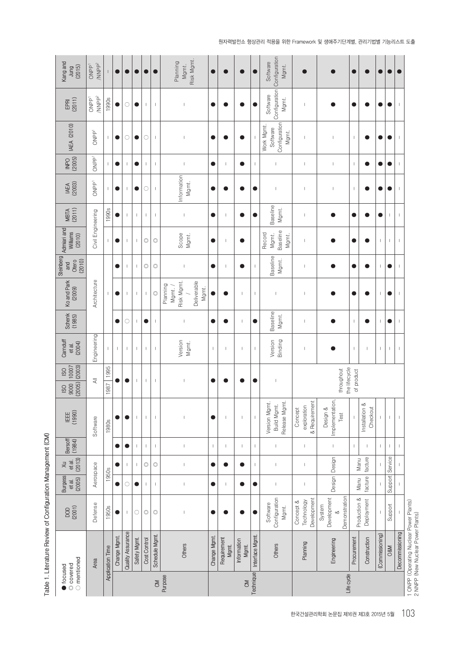Table 1. Literature Review of Configuration Management (CM) **Table 1. Literature Review of Configuration Management (CM)**

| Kang and<br>(2015)<br>Jung                               | /NNPP <sup>2</sup><br>ONPP <sup>1</sup> |                  | $\bullet$    | $\bullet$                |              |                |                       | Risk Mgmt.<br>Planning<br>Mgmt.                          | $\blacksquare$ |                            |                            |                 | Configuration Configuration<br>Software<br>Mgmt. |                                         |                                        |                          |                            |                          |                          |                          |                                                                              |
|----------------------------------------------------------|-----------------------------------------|------------------|--------------|--------------------------|--------------|----------------|-----------------------|----------------------------------------------------------|----------------|----------------------------|----------------------------|-----------------|--------------------------------------------------|-----------------------------------------|----------------------------------------|--------------------------|----------------------------|--------------------------|--------------------------|--------------------------|------------------------------------------------------------------------------|
| (2011)<br>EPRI                                           | /NNP $P^2$<br>ONPP <sup>1</sup>         | 1990s            | $\bullet$    | $\circlearrowright$      | $\bullet$    | $\mathsf{L}$   | $\mathbb I$           | I                                                        | $\bullet$      |                            |                            |                 | Software<br>Mgmt.                                | $\mathbf{I}$                            |                                        | O                        |                            | 0                        | 0                        | $\overline{\phantom{a}}$ |                                                                              |
| <b>IAEA (2010)</b>                                       | ONPP <sup>1</sup>                       | $\mathbb{I}$     | $\bullet$    | $\circ$                  | $\bullet$    | 0              | $\mathbf{I}$          | I                                                        | $\bullet$      |                            |                            |                 | Configuration<br>Work Mgmt.<br>Software<br>Mgmt. | $\mathbf{I}$                            |                                        | I                        |                            | œ                        |                          | $\overline{\phantom{a}}$ |                                                                              |
| $\frac{\text{NPO}}{\text{2005}}$                         | ONPP <sup>1</sup>                       |                  | $\bullet$    |                          |              |                | $\mathbb{I}$          | $\overline{\phantom{a}}$                                 | 0              |                            |                            |                 |                                                  | $\mathbf{I}$                            |                                        | $\overline{1}$           |                            |                          |                          |                          |                                                                              |
| <b>IAEA</b><br>(2003)                                    | ONPP <sup>1</sup>                       | $\mathbf{I}$     | $\bullet$    | $\,$ $\,$                | $\bullet$    | C              | $\mathord{\mathbb L}$ | Information<br>Mgmt.                                     | $\bullet$      |                            |                            | Q               | J.                                               | $\mathbf{I}$                            |                                        | I                        |                            | ●                        | Œ                        |                          |                                                                              |
| MBTA<br>(2011)                                           |                                         | 1990s            |              | $\overline{\phantom{a}}$ |              | J.             | $\mathsf I$           | $\overline{\phantom{a}}$                                 | $\bullet$      | 1                          |                            |                 | Baseline<br>Mgmt.                                | $\mathbf{I}$                            |                                        | Œ                        |                            | 0                        | $\mathbf{I}$             | $\overline{\phantom{a}}$ |                                                                              |
| Steinberg Admiari and<br>Williams<br>(2010)              | Civil Engineering                       | $\mathbb{I}$     | $\bullet$    | $\overline{\phantom{a}}$ |              | $\circledcirc$ | $\circledcirc$        | Scope<br>Mgmt.                                           | $\bullet$      |                            |                            |                 | Baseline<br>Record<br>Mgmt.<br>Mgmt.             | $\overline{\phantom{a}}$                |                                        |                          |                            | $\mathsf I$              | $\mathsf I$              | $\overline{\phantom{a}}$ |                                                                              |
| (2010)<br>Otero<br>and                                   |                                         |                  | $\bullet$    | $\,$ $\,$                |              | $\circledcirc$ | $\circledcirc$        | I                                                        | $\bullet$      |                            | Œ                          |                 | Baseline<br>Mgmt.                                | $\mathbf{I}$                            |                                        |                          |                            | $\mathbf{I}$             | 0                        |                          |                                                                              |
| Ko and Park<br>(2009)                                    | Architecture                            | $\mathsf I$      | $\bullet$    | $\overline{\phantom{a}}$ |              | $\mathbf{I}$   | $\circledcirc$        | Deliverable<br>Risk Mgmt.<br>Planning<br>Mgmt./<br>Mgmt. |                |                            | $\mathbf{I}$               |                 | $\mathbf{I}$                                     | $\mathbf{I}$                            |                                        |                          |                            | $\mathbf{I}$             |                          | $\overline{\phantom{a}}$ |                                                                              |
| Schenk<br>(1985)                                         |                                         |                  | $\bullet$    | $\circ$                  |              |                | $\mathbf{I}$          | I                                                        | $\bullet$      |                            | т                          |                 | Baseline<br>Mgmt.                                | L                                       |                                        | T                        |                            | $\overline{\phantom{a}}$ | 0                        |                          |                                                                              |
| Carnduff<br>(2004)<br>et al.                             | Engineering                             | $\mathbb{L}$     | $\mathbb{I}$ | $\,$ $\,$                |              |                | $\mathbf{I}$          | Version<br>Mgmt.                                         | т              | $\overline{\phantom{a}}$   | $\mathbf{I}$               |                 | Version<br>Binding                               | $\mathbf{I}$                            |                                        | $\overline{\phantom{a}}$ |                            | $\mathbf{I}$             | $\mathbf{I}$             | $\overline{\phantom{a}}$ |                                                                              |
| 10007<br>$(2005)$ $(2003)$<br><b>OSI</b><br> 0000<br>ISO | $\equiv$                                | 1995<br>1987     |              | $\bullet$                |              |                | $\mathbf{I}$          | $\overline{\phantom{a}}$                                 | $\bullet$      |                            |                            | Q               | $\mathbf{I}$                                     |                                         | the lifecycle<br>throughout            | of product               |                            |                          |                          |                          |                                                                              |
| IEEE<br>(1990)                                           | Software                                | <b>1980s</b>     |              | 0                        |              |                | $\mathbf{I}$          |                                                          | $\bullet$      | $\overline{\phantom{a}}$   | $\mathbf{I}$               |                 | Version Mgmt.<br>Release Mgmt<br>Build Mgmt.     | & Requirement<br>exploration<br>Concept | Implementation,<br>Design &<br>Test    |                          | Installation &<br>Checkout |                          | $\overline{\phantom{a}}$ | $\overline{\phantom{a}}$ |                                                                              |
| Bersoff<br>(1984)                                        |                                         |                  |              |                          |              |                | $\mathbf{I}$          | $\overline{\phantom{a}}$                                 |                |                            | т                          |                 | $\mathbf{I}$                                     | $\overline{\phantom{a}}$                | т                                      | $\overline{1}$           |                            | $\overline{1}$           | $\mathbf{I}$             |                          |                                                                              |
| (2013)<br>et al.<br>$\overline{\times}$                  |                                         |                  |              |                          |              | $\circledcirc$ | $\circledcirc$        |                                                          | 0              |                            |                            |                 |                                                  | L                                       |                                        |                          | facture<br>Manu            |                          |                          |                          |                                                                              |
| <b>Burgess</b><br>(2005)<br>et al.                       | Aerospace                               | <b>1950s</b>     | $\bullet$    | $\bigcirc$               | $\bullet$    | J.             | $\mathbf{I}$          | $\overline{\phantom{a}}$                                 | $\bullet$      | -1                         | O                          | $\bullet$       | $\mathbf{I}$                                     | $\mathbf{I}$                            | Design Design                          |                          | facture<br>Manu            |                          | Support Service          |                          |                                                                              |
| 10001                                                    | Defense                                 | <b>1950s</b>     | $\bullet$    | $\mathsf I$              | $\circ$      | $\circledcirc$ | $\circledcirc$        | I                                                        | 0              |                            |                            |                 | Configuration<br>Software<br>Mgmt.               | Development<br>Technology<br>Concept &  | Demonstration<br>Development<br>System |                          | Production &<br>Deployment |                          | Support                  |                          |                                                                              |
|                                                          | Area                                    | Application Time | Change Mgmt. | Quality Assurance        | Safety Mgmt. | Cost Control   | Schedule Mgmt.        | Others                                                   | Change Mgmt.   | Requirement<br><b>Mgmt</b> | Information<br><b>Mgmt</b> | Interface Mgmt. | <b>Others</b>                                    | Planning                                | Engineering                            | Procurement              | Construction               | (Commissioning)          | <b>O&amp;M</b>           | Decommissioning          | 1 ONPP (Operating Nuclear Power Plants)<br>2 NNPP (New Nuclear Power Plants) |
| $\supset$ mentioned<br>© covered<br>focused              |                                         |                  |              |                          |              |                | $\overline{5}$        | Purpose                                                  |                |                            | $\delta$                   | Technique       |                                                  |                                         | Life cycle                             |                          |                            |                          |                          |                          |                                                                              |

원자력발전소 형상관리 적용을 위한 Framework 및 생애주기단계별, 관리기법별 기능리스트 도출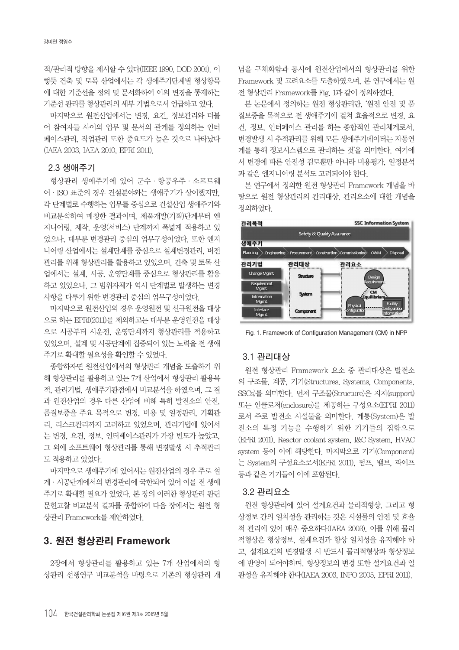적/관리적 방향을 제시할 수 있다(IEEE 1990, DOD 2001). 이 렇듯 건축 및 토목 산업에서는 각 생애주기단계별 형상항목 에 대한 기준선을 정의 및 문서화하여 이의 변경을 통제하는 기준선 관리를 형상관리의 세부 기법으로서 언급하고 있다.

마지막으로 원전산업에서는 변경, 요건, 정보관리와 더불 어 참여자들 사이의 업무 및 문서의 관계를 정의하는 인터 페이스관리, 작업관리 또한 중요도가 높은 것으로 나타났다 (IAEA 2003, IAEA 2010, EPRI 2011).

#### **2.3 생애주기**

형상관리 생애주기에 있어 군수·항공우주·소프트웨 어·ISO 표준의 경우 건설분야와는 생애주기가 상이했지만, 각 단계별로 수행하는 업무를 중심으로 건설산업 생애주기와 비교분석하여 매칭한 결과이며, 제품개발(기획)단계부터 엔 지니어링, 제작, 운영(서비스) 단계까지 폭넓게 적용하고 있 었으나, 대부분 변경관리 중심의 업무구성이었다. 또한 엔지 니어링 산업에서는 설계단계를 중심으로 설계변경관리, 버전 관리를 위해 형상관리를 활용하고 있었으며, 건축 및 토목 산 업에서는 설계, 시공, 운영단계를 중심으로 형상관리를 활용 하고 있었으나, 그 범위자체가 역시 단계별로 발생하는 변경 사항을 다루기 위한 변경관리 중심의 업무구성이었다.

마지막으로 원전산업의 경우 운영원전 및 신규원전을 대상 으로 하는 EPRI(2011)를 제외하고는 대부분 운영원전을 대상 으로 시공부터 시운전, 운영단계까지 형상관리를 적용하고 있었으며, 설계 및 시공단계에 집중되어 있는 노력을 전 생애 주기로 확대할 필요성을 확인할 수 있었다.

종합하자면 원전산업에서의 형상관리 개념을 도출하기 위 해 형상관리를 활용하고 있는 7개 산업에서 형상관리 활용목 적, 관리기법, 생애주기관점에서 비교분석을 하였으며, 그 결 과 원전산업의 경우 다른 산업에 비해 특히 발전소의 안전, 품질보증을 주요 목적으로 변경, 비용 및 일정관리, 기획관 리, 리스크관리까지 고려하고 있었으며, 관리기법에 있어서 는 변경, 요건, 정보, 인터페이스관리가 가장 빈도가 높았고, 그 외에 소프트웨어 형상관리를 통해 변경발생 시 추적관리 도 적용하고 있었다.

마지막으로 생애주기에 있어서는 원전산업의 경우 주로 설 계·시공단계에서의 변경관리에 국한되어 있어 이를 전 생애 주기로 확대할 필요가 있었다. 본 장의 이러한 형상관리 관련 문헌고찰 비교분석 결과를 종합하여 다음 장에서는 원전 형 상관리 Framework를 제안하였다.

### 3. 원전 형상관리 Framework

2장에서 형상관리를 활용하고 있는 7개 산업에서의 형 상관리 선행연구 비교분석을 바탕으로 기존의 형상관리 개 념을 구체화함과 동시에 원전산업에서의 형상관리를 위한 Framework 및 고려요소를 도출하였으며, 본 연구에서는 원 전 형상관리 Framework를 Fig. 1과 같이 정의하였다.

본 논문에서 정의하는 원전 형상관리란, '원전 안전 및 품 질보증을 목적으로 전 생애주기에 걸쳐 효율적으로 변경, 요 건, 정보, 인터페이스 관리를 하는 종합적인 관리체계로서, 변경발생 시 추적관리를 위해 모든 생애주기데이터는 자동연 계를 통해 정보시스템으로 관리하는 것'을 의미한다. 여기에 서 변경에 따른 안전성 검토뿐만 아니라 비용평가, 일정분석 과 같은 엔지니어링 분석도 고려되어야 한다.

본 연구에서 정의한 원전 형상관리 Framework 개념을 바 탕으로 원전 형상관리의 관리대상, 관리요소에 대한 개념을 정의하였다.



**Fig. 1. Framework of Configuration Management (CM) in NPP**

#### **3.1 관리대상**

원전 형상관리 Framework 요소 중 관리대상은 발전소 의 구조물, 계통, 기기(Structures, Systems, Components, SSCs)를 의미한다. 먼저 구조물(Structure)은 지지(support) 또는 인클로저(enclosure)를 제공하는 구성요소(EPRI 2011) 로서 주로 발전소 시설물을 의미한다. 계통(System)은 발 전소의 특정 기능을 수행하기 위한 기기들의 집합으로 (EPRI 2011), Reactor coolant system, I&C System, HVAC system 등이 이에 해당한다. 마지막으로 기기(Component) 는 System의 구성요소로서(EPRI 2011), 펌프, 밸브, 파이프 등과 같은 기기들이 이에 포함된다.

#### **3.2 관리요소**

원전 형상관리에 있어 설계요건과 물리적형상, 그리고 형 상정보 간의 일치성을 관리하는 것은 시설물의 안전 및 효율 적 관리에 있어 매우 중요하다(IAEA 2003). 이를 위해 물리 적형상은 형상정보, 설계요건과 항상 일치성을 유지해야 하 고, 설계요건의 변경발생 시 반드시 물리적형상과 형상정보 에 반영이 되어야하며, 형상정보의 변경 또한 설계요건과 일 관성을 유지해야 한다(IAEA 2003, INPO 2005, EPRI 2011).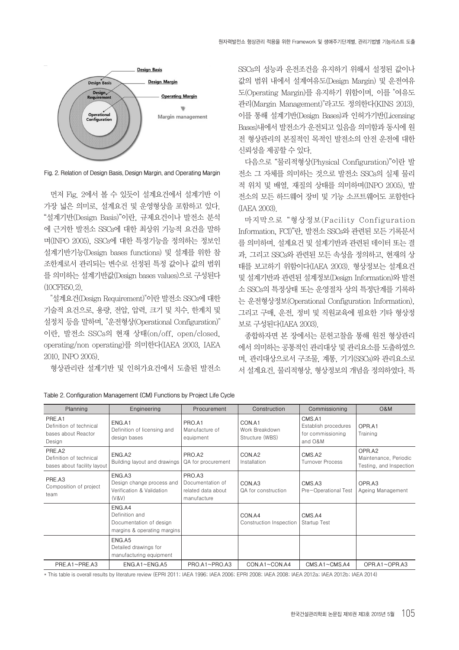

**Fig. 2. Relation of Design Basis, Design Margin, and Operating Margin**

먼저 Fig. 2에서 볼 수 있듯이 설계요건에서 설계기반 이 가장 넓은 의미로, 설계요건 및 운영형상을 포함하고 있다. "설계기반(Design Basis)"이란, 규제요건이나 발전소 분석 에 근거한 발전소 SSCs에 대한 최상위 기능적 요건을 말하 며(INPO 2005), SSCs에 대한 특정기능을 정의하는 정보인 설계기반기능(Design bases functions) 및 설계를 위한 참 조한계로서 관리되는 변수로 선정된 특정 값이나 값의 범위 를 의미하는 설계기반값(Design bases values)으로 구성된다 (10CFR50.2).

"설계요건(Design Requirement)"이란 발전소 SSCs에 대한 기술적 요건으로, 용량, 전압, 압력, 크기 및 치수, 한계치 및 설정치 등을 말하며, "운전형상(Operational Configuration)" 이란, 발전소 SSCs의 현재 상태(on/off, open/closed, operating/non operating)를 의미한다(IAEA 2003, IAEA 2010, INPO 2005).

형상관리란 설계기반 및 인허가요건에서 도출된 발전소

SSCs의 성능과 운전조건을 유지하기 위해서 설정된 값이나 값의 범위 내에서 설계여유도(Design Margin) 및 운전여유 도(Operating Margin)를 유지하기 위함이며, 이를 "여유도 관리(Margin Management)"라고도 정의한다(KINS 2013). 이를 통해 설계기반(Design Bases)과 인허가기반(Licensing Bases)내에서 발전소가 운전되고 있음을 의미함과 동시에 원 전 형상관리의 본질적인 목적인 발전소의 안전 운전에 대한 신뢰성을 제공할 수 있다.

다음으로 "물리적형상(Physical Configuration)"이란 발 전소 그 자체를 의미하는 것으로 발전소 SSCs의 실제 물리 적 위치 및 배열, 재질의 상태를 의미하며(INPO 2005), 발 전소의 모든 하드웨어 장비 및 기능 소프트웨어도 포함한다 (IAEA 2003).

마지막으로 "형상정보(Facility Configuration Information, FCI)"란, 발전소 SSCs와 관련된 모든 기록문서 를 의미하며, 설계요건 및 설계기반과 관련된 데이터 또는 결 과, 그리고 SSCs와 관련된 모든 속성을 정의하고, 현재의 상 태를 보고하기 위함이다(IAEA 2003). 형상정보는 설계요건 및 설계기반과 관련된 설계정보(Design Information)와 발전 소 SSCs의 특정상태 또는 운영절차 상의 특정단계를 기록하 는 운전형상정보(Operational Configuration Information), 그리고 구매, 운전, 정비 및 직원교육에 필요한 기타 형상정 보로 구성된다(IAEA 2003).

종합하자면 본 장에서는 문헌고찰을 통해 원전 형상관리 에서 의미하는 공통적인 관리대상 및 관리요소를 도출하였으 며, 관리대상으로서 구조물, 계통, 기기(SSCs)와 관리요소로 서 설계요건, 물리적형상, 형상정보의 개념을 정의하였다. 특

| Planning                                                           | Engineering                                                                        | Procurement                                                     | Construction                                | Commissioning                                                  | <b>O&amp;M</b>                                             |
|--------------------------------------------------------------------|------------------------------------------------------------------------------------|-----------------------------------------------------------------|---------------------------------------------|----------------------------------------------------------------|------------------------------------------------------------|
| PRE.A1<br>Definition of technical<br>bases about Reactor<br>Design | ENG.A1<br>Definition of licensing and<br>design bases                              | PRO.A1<br>Manufacture of<br>equipment                           | CON.A1<br>Work Breakdown<br>Structure (WBS) | CMS.A1<br>Establish procedures<br>for commissioning<br>and O&M | OPR.A1<br>Training                                         |
| PRE.A2<br>Definition of technical<br>bases about facility layout   | ENG.A2<br>Building layout and drawings                                             | PRO.A2<br>QA for procurement                                    | CON.A2<br>Installation                      | CMS.A2<br><b>Turnover Process</b>                              | OPR.A2<br>Maintenance, Periodic<br>Testing, and Inspection |
| PRE.A3<br>Composition of project<br>team                           | ENG.A3<br>Design change process and<br>Verification & Validation<br>(V&V)          | PRO.A3<br>Documentation of<br>related data about<br>manufacture | CON.A3<br>QA for construction               | CMS.A3<br>Pre-Operational Test                                 | OPR.A3<br>Ageing Management                                |
|                                                                    | ENG.A4<br>Definition and<br>Documentation of design<br>margins & operating margins |                                                                 | CON.A4<br>Construction Inspection           | CMS.A4<br><b>Startup Test</b>                                  |                                                            |
|                                                                    | ENG.A5<br>Detailed drawings for<br>manufacturing equipment                         |                                                                 |                                             |                                                                |                                                            |
| PRE.A1~PRE.A3                                                      | $ENG.A1 \sim ENG.A5$                                                               | $PRO.A1 \sim PRO.A3$                                            | $CON.A1 \sim CON.A4$                        | CMS.A1~CMS.A4                                                  | $OPR.A1 \sim OPR.A3$                                       |

**Table 2. Configuration Management (CM) Functions by Project Life Cycle**

\* This table is overall results by literature review (EPRI 2011; IAEA 1996; IAEA 2006; EPRI 2008; IAEA 2008; IAEA 2012a; IAEA 2012b; IAEA 2014)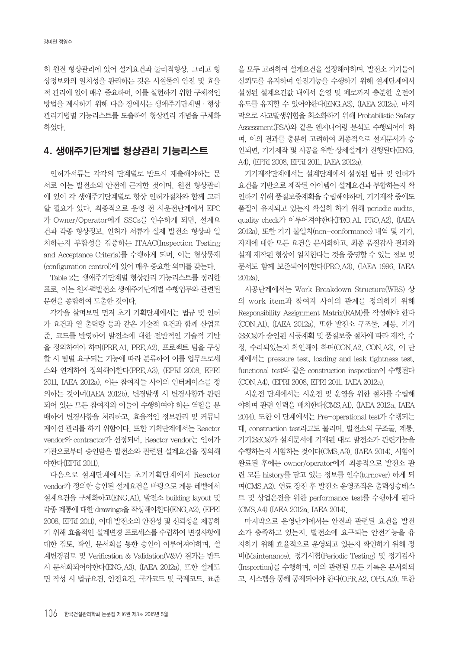히 원전 형상관리에 있어 설계요건과 물리적형상, 그리고 형 상정보와의 일치성을 관리하는 것은 시설물의 안전 및 효율 적 관리에 있어 매우 중요하며, 이를 실현하기 위한 구체적인 방법을 제시하기 위해 다음 장에서는 생애주기단계별·형상 관리기법별 기능리스트를 도출하여 형상관리 개념을 구체화 하였다.

### 4. 생애주기단계별 형상관리 기능리스트

인허가서류는 각각의 단계별로 반드시 제출해야하는 문 서로 이는 발전소의 안전에 근거한 것이며, 원전 형상관리 에 있어 각 생애주기단계별로 항상 인허가절차와 함께 고려 할 필요가 있다. 최종적으로 운영 전 시운전단계에서 EPC 가 Owner/Operator에게 SSCs를 인수하게 되면, 설계요 건과 각종 형상정보, 인허가 서류가 실제 발전소 형상과 일 치하는지 부합성을 검증하는 ITAAC(Inspection Testing and Acceptance Criteria)를 수행하게 되며, 이는 형상통제 (configuration control)에 있어 매우 중요한 의미를 갖는다.

Table 2는 생애주기단계별 형상관리 기능리스트를 정리한 표로, 이는 원자력발전소 생애주기단계별 수행업무와 관련된 문헌을 종합하여 도출한 것이다.

각각을 살펴보면 먼저 초기 기획단계에서는 법규 및 인허 가 요건과 열 출력량 등과 같은 기술적 요건과 함께 산업표 준, 코드를 반영하여 발전소에 대한 전반적인 기술적 기반 을 정의하여야 하며(PRE.A1, PRE.A2), 프로젝트 팀을 구성 할 시 팀별 요구되는 기능에 따라 분류하여 이를 업무프로세 스와 연계하여 정의해야한다(PRE.A3), (EPRI 2008, EPRI 2011, IAEA 2012a). 이는 참여자들 사이의 인터페이스를 정 의하는 것이며(IAEA 2012b), 변경발생 시 변경사항과 관련 되어 있는 모든 참여자와 이들이 수행하여야 하는 역할을 분 배하여 변경사항을 처리하고, 효율적인 정보관리 및 커뮤니 케이션 관리를 하기 위함이다. 또한 기획단계에서는 Reactor vendor와 contractor가 선정되며, Reactor vendor는 인허가 기관으로부터 승인받은 발전소와 관련된 설계요건을 정의해 야한다(EPRI 2011).

다음으로 설계단계에서는 초기기획단계에서 Reactor vendor가 정의한 승인된 설계요건을 바탕으로 계통 레벨에서 설계요건을 구체화하고(ENG.A1), 발전소 building layout 및 각종 계통에 대한 drawings을 작성해야한다(ENG.A2), (EPRI 2008, EPRI 2011). 이때 발전소의 안전성 및 신뢰성을 제공하 기 위해 효율적인 설계변경 프로세스를 수립하여 변경사항에 대한 검토, 확인, 문서화를 통한 승인이 이루어져야하며, 설 계변경검토 및 Verification & Validation(V&V) 결과는 반드 시 문서화되어야한다(ENG.A3), (IAEA 2012a). 또한 설계도 면 작성 시 법규요건, 안전요건, 국가코드 및 국제코드, 표준 을 모두 고려하여 설계요건을 설정해야하며, 발전소 기기들이 신뢰도를 유지하며 안전기능을 수행하기 위해 설계단계에서 설정된 설계요건값 내에서 운영 및 폐로까지 충분한 운전여 유도를 유지할 수 있어야한다(ENG.A3), (IAEA 2012a). 마지 막으로 사고발생위험을 최소화하기 위해 Probabilistic Safety Assessment(PSA)와 같은 엔지니어링 분석도 수행되어야 하 며, 이의 결과를 충분히 고려하여 최종적으로 설계문서가 승 인되면, 기기제작 및 시공을 위한 상세설계가 진행된다(ENG. A4), (EPRI 2008, EPRI 2011, IAEA 2012a).

기기제작단계에서는 설계단계에서 설정된 법규 및 인허가 요건을 기반으로 제작된 아이템이 설계요건과 부합하는지 확 인하기 위해 품질보증계획을 수립해야하며, 기기제작 중에도 품질이 유지되고 있는지 확실히 하기 위해 periodic audits, quality check가 이루어져야한다(PRO.A1, PRO.A2), (IAEA 2012a). 또한 기기 불일치(non-conformance) 내역 및 기기, 자재에 대한 모든 요건을 문서화하고, 최종 품질감사 결과와 실제 제작된 형상이 일치한다는 것을 증명할 수 있는 정보 및 문서도 함께 보존되어야한다(PRO.A3), (IAEA 1996, IAEA 2012a).

시공단계에서는 Work Breakdown Structure(WBS) 상 의 work item과 참여자 사이의 관계를 정의하기 위해 Responsibility Assignment Matrix(RAM)를 작성해야 한다 (CON.A1), (IAEA 2012a). 또한 발전소 구조물, 계통, 기기 (SSCs)가 승인된 시공계획 및 품질보증 절차에 따라 제작, 수 정, 수리되었는지 확인해야 하며(CON.A2, CON.A3), 이 단 계에서는 pressure test, loading and leak tightness test, functional test와 같은 construction inspection이 수행된다 (CON.A4), (EPRI 2008, EPRI 2011, IAEA 2012a).

시운전 단계에서는 시운전 및 운영을 위한 절차를 수립해 야하며 관련 인력을 배치한다(CMS.A1), (IAEA 2012a, IAEA 2014). 또한 이 단계에서는 Pre-operational test가 수행되는 데, construction test라고도 불리며, 발전소의 구조물, 계통, 기기(SSCs)가 설계문서에 기재된 대로 발전소가 관련기능을 수행하는지 시험하는 것이다(CMS.A3), (IAEA 2014). 시험이 완료된 후에는 owner/operator에게 최종적으로 발전소 관 련 모든 history를 담고 있는 정보를 인수(turnover) 하게 되 며(CMS.A2), 연료 장전 후 발전소 운영조직은 출력상승테스 트 및 상업운전을 위한 performance test를 수행하게 된다 (CMS.A4) (IAEA 2012a, IAEA 2014).

마지막으로 운영단계에서는 안전과 관련된 요건을 발전 소가 충족하고 있는지, 발전소에 요구되는 안전기능을 유 지하기 위해 효율적으로 운영되고 있는지 확인하기 위해 정 비(Maintenance), 정기시험(Periodic Testing) 및 정기검사 (Inspection)를 수행하며, 이와 관련된 모든 기록은 문서화되 고, 시스템을 통해 통제되어야 한다(OPR.A2, OPR.A3). 또한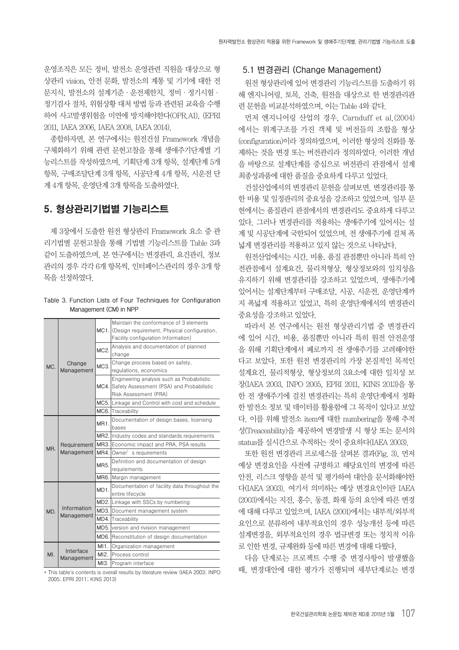운영조직은 모든 정비, 발전소 운영관련 직원을 대상으로 형 상관리 vision, 안전 문화, 발전소의 계통 및 기기에 대한 전 문지식, 발전소의 설계기준·운전제한치, 정비·정기시험· 정기검사 절차, 위험상황 대처 방법 등과 관련된 교육을 수행 하여 사고발생위험을 미연에 방지해야한다(OPR.A1), (EPRI 2011, IAEA 2006, IAEA 2008, IAEA 2014).

종합하자면, 본 연구에서는 원전건설 Framework 개념을 구체화하기 위해 관련 문헌고찰을 통해 생애주기단계별 기 능리스트를 작성하였으며, 기획단계 3개 항목, 설계단계 5개 항목, 구매조달단계 3개 항목, 시공단계 4개 항목, 시운전 단 계 4개 항목, 운영단계 3개 항목을 도출하였다.

### 5. 형상관리기법별 기능리스트

제 3장에서 도출한 원전 형상관리 Framework 요소 중 관 리기법별 문헌고찰을 통해 기법별 기능리스트를 Table 3과 같이 도출하였으며, 본 연구에서는 변경관리, 요건관리, 정보 관리의 경우 각각 6개 항목씩, 인터페이스관리의 경우 3개 항 목을 선정하였다.

**Table 3. Function Lists of Four Techniques for Configuration Management (CM) in NPP**

|     |                           |         | Maintain the conformance of 3 elements<br>MC1. (Design requirement, Physical configuration, |  |  |  |  |  |  |
|-----|---------------------------|---------|---------------------------------------------------------------------------------------------|--|--|--|--|--|--|
| MC. |                           |         | Facility configuration Information)                                                         |  |  |  |  |  |  |
|     |                           | $MC2$ . | Analysis and documentation of planned                                                       |  |  |  |  |  |  |
|     |                           |         | change                                                                                      |  |  |  |  |  |  |
|     | Change                    | MC3.    | Change process based on safety,                                                             |  |  |  |  |  |  |
|     | Management                |         | regulations, economics                                                                      |  |  |  |  |  |  |
|     |                           |         | Engineering analysis such as Probabilistic                                                  |  |  |  |  |  |  |
|     |                           |         | MC4. Safety Assessment (PSA) and Probabilistic                                              |  |  |  |  |  |  |
|     |                           |         | Risk Assessment (PRA)                                                                       |  |  |  |  |  |  |
|     |                           |         | MC5. Linkage and Control with cost and schedule                                             |  |  |  |  |  |  |
|     |                           |         | MC6. Traceability                                                                           |  |  |  |  |  |  |
|     |                           | MR1     | Documentation of design bases, licensing                                                    |  |  |  |  |  |  |
|     | Requirement<br>Management |         | bases                                                                                       |  |  |  |  |  |  |
|     |                           |         | MR2. Industry codes and standards requirements                                              |  |  |  |  |  |  |
| MR. |                           |         | MR3. Economic impact and PRA, PSA results                                                   |  |  |  |  |  |  |
|     |                           |         | MR4. Owner's requirements                                                                   |  |  |  |  |  |  |
|     |                           | MR5.    | Definition and documentation of design                                                      |  |  |  |  |  |  |
|     |                           |         | requirements                                                                                |  |  |  |  |  |  |
|     |                           |         | MR6. Margin management                                                                      |  |  |  |  |  |  |
|     |                           | MD1.    | Documentation of facility data throughout the                                               |  |  |  |  |  |  |
|     |                           |         | entire lifecycle                                                                            |  |  |  |  |  |  |
|     |                           |         | MD2. Linkage with SSCs by numbering                                                         |  |  |  |  |  |  |
| MD. | Information               |         | MD3. Document management system                                                             |  |  |  |  |  |  |
|     | Management                |         | MD4. Traceability                                                                           |  |  |  |  |  |  |
|     |                           |         | MD5. version and rivision management                                                        |  |  |  |  |  |  |
|     |                           |         | MD6. Reconstitution of design documentation                                                 |  |  |  |  |  |  |
|     |                           | M11.    | Organization management                                                                     |  |  |  |  |  |  |
| MI. | Interface<br>Management   |         | MI2. Process control                                                                        |  |  |  |  |  |  |
|     |                           |         | MI3. Program interface                                                                      |  |  |  |  |  |  |

\* This table's contents is overall results by literature review (IAEA 2003; INPO 2005; EPRI 2011; KINS 2013)

#### **5.1 변경관리 (Change Management)**

원전 형상관리에 있어 변경관리 기능리스트를 도출하기 위 해 엔지니어링, 토목, 건축, 원전을 대상으로 한 변경관리관 련 문헌을 비교분석하였으며, 이는 Table 4와 같다.

먼저 엔지니어링 산업의 경우, Carnduff et al.(2004) 에서는 위계구조를 가진 객체 및 버전들의 조합을 형상 (configuration)이라 정의하였으며, 이러한 형상의 진화를 통 제하는 것을 변경 또는 버전관리라 정의하였다. 이러한 개념 을 바탕으로 설계단계를 중심으로 버전관리 관점에서 설계 최종성과품에 대한 품질을 중요하게 다루고 있었다.

건설산업에서의 변경관리 문헌을 살펴보면, 변경관리를 통 한 비용 및 일정관리의 중요성을 강조하고 있었으며, 일부 문 헌에서는 품질관리 관점에서의 변경관리도 중요하게 다루고 있다. 그러나 변경관리를 적용하는 생애주기에 있어서는 설 계 및 시공단계에 국한되어 있었으며, 전 생애주기에 걸쳐 폭 넓게 변경관리를 적용하고 있지 않는 것으로 나타났다.

원전산업에서는 시간, 비용, 품질 관점뿐만 아니라 특히 안 전관점에서 설계요건, 물리적형상, 형상정보와의 일치성을 유지하기 위해 변경관리를 강조하고 있었으며, 생애주기에 있어서는 설계단계부터 구매조달, 시공, 시운전, 운영단계까 지 폭넓게 적용하고 있었고, 특히 운영단계에서의 변경관리 중요성을 강조하고 있었다.

따라서 본 연구에서는 원전 형상관리기법 중 변경관리 에 있어 시간, 비용, 품질뿐만 아니라 특히 원전 안전운영 을 위해 기획단계에서 폐로까지 전 생애주기를 고려해야한 다고 보았다. 또한 원전 변경관리의 가장 본질적인 목적인 설계요건, 물리적형상, 형상정보의 3요소에 대한 일치성 보 장(IAEA 2003, INPO 2005, EPRI 2011, KINS 2013)을 통 한 전 생애주기에 걸친 변경관리는 특히 운영단계에서 정확 한 발전소 정보 및 데이터를 활용함에 그 목적이 있다고 보았 다. 이를 위해 발전소 item에 대한 numbering을 통해 추적 성(Treaceability)을 제공하여 변경발생 시 형상 또는 문서의 status를 실시간으로 추적하는 것이 중요하다(IAEA 2003).

또한 원전 변경관리 프로세스를 살펴본 결과(Fig. 3), 먼저 예상 변경요인을 사전에 규명하고 해당요인의 변경에 따른 안전, 리스크 영향을 분석 및 평가하여 대안을 문서화해야한 다(IAEA 2003). 여기서 의미하는 예상 변경요인이란 IAEA (2003)에서는 지진, 홍수, 동결, 화재 등의 요인에 따른 변경 에 대해 다루고 있었으며, IAEA (2001)에서는 내부적/외부적 요인으로 분류하여 내부적요인의 경우 성능개선 등에 따른 설계변경을, 외부적요인의 경우 법규변경 또는 정치적 이유 로 인한 변경, 규제완화 등에 따른 변경에 대해 다뤘다.

다음 단계로는 프로젝트 수행 중 변경사항이 발생했을 때, 변경대안에 대한 평가가 진행되며 세부단계로는 변경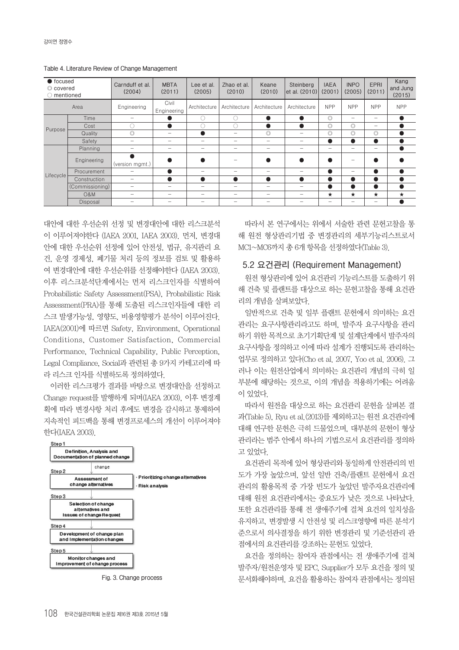**Table 4. Literature Review of Change Management**

| $\bullet$ focused<br>© covered<br>mentioned |                 | Carnduff et al.<br>(2004) | <b>MBTA</b><br>(2011)    | Lee et al.<br>(2005)     | Zhao et al.<br>(2010)    | Keane<br>(2010)                 | Steinberg<br>et al. (2010) | <b>IAEA</b><br>(2001)    | <b>INPO</b><br>(2005)           | <b>EPRI</b><br>(2011)    | Kang<br>and Jung<br>(2015) |
|---------------------------------------------|-----------------|---------------------------|--------------------------|--------------------------|--------------------------|---------------------------------|----------------------------|--------------------------|---------------------------------|--------------------------|----------------------------|
| Area                                        |                 | Engineering               | Civil<br>Engineering     | Architecture             | Architecture             | Architecture                    | Architecture               | <b>NPP</b>               | <b>NPP</b>                      | <b>NPP</b>               | <b>NPP</b>                 |
| Time                                        |                 |                           |                          | Ō                        | Ċ                        |                                 |                            | $\circledcirc$           | $\overline{\phantom{a}}$        |                          | $\bullet$                  |
| Purpose                                     | Cost            |                           |                          | O                        | U                        |                                 |                            | $\circledcirc$           | $\circledcirc$                  | $\hspace{0.05cm}$        |                            |
|                                             | Quality         | Ō                         |                          | $\bullet$                |                          | Ō                               | $\qquad \qquad$            | $\circledcirc$           | $\circledcirc$                  | $\circledcirc$           |                            |
|                                             | Safety          | -                         | $\overline{\phantom{a}}$ | $\overline{\phantom{a}}$ | -                        | $\hspace{0.05cm}$               | $\hspace{0.05cm}$          | $\bullet$                | $\bullet$                       | <b>e</b>                 |                            |
|                                             | Planning        |                           | $\hspace{0.05cm}$        | $\overline{\phantom{0}}$ | $\overline{\phantom{0}}$ | $\hspace{0.05cm}$               | $\qquad \qquad$            | $\overline{\phantom{0}}$ | $\hspace{0.05cm}$               | $\overline{\phantom{m}}$ | $\bullet$                  |
|                                             | Engineering     | (version mgmt.)           |                          |                          | -                        |                                 |                            | $\bullet$                |                                 |                          |                            |
|                                             | Procurement     | -                         |                          | $\overline{\phantom{a}}$ | $\hspace{0.05cm}$        | $\hspace{0.05cm}$               | $\hspace{0.05cm}$          | $\bullet$                | $\hspace{0.05cm}$               | $\bullet$                |                            |
| Lifecycle                                   | Construction    | -                         |                          |                          | $\bullet$                |                                 |                            | $\bullet$                | w                               |                          |                            |
|                                             | (Commissioning) |                           | $\overline{\phantom{a}}$ |                          | -                        | $\overline{\phantom{a}}$        | $\overline{\phantom{a}}$   | $\bullet$                | O                               | 0                        |                            |
|                                             | <b>O&amp;M</b>  | -                         | $\overline{\phantom{a}}$ | $\overline{\phantom{a}}$ | $\overline{\phantom{0}}$ | $\overline{\phantom{a}}$        | $\overline{\phantom{a}}$   | $\star$                  | $\star$                         | $\star$                  | $\star$                    |
|                                             | Disposal        |                           | $\qquad \qquad$          | $\hspace{0.05cm}$        | $\qquad \qquad$          | $\hspace{0.1mm}-\hspace{0.1mm}$ | $\hspace{0.05cm}$          | $\qquad \qquad$          | $\hspace{0.1mm}-\hspace{0.1mm}$ | $\overline{\phantom{m}}$ |                            |

대안에 대한 우선순위 선정 및 변경대안에 대한 리스크분석 이 이루어져야한다 (IAEA 2001, IAEA 2003). 먼저, 변경대 안에 대한 우선순위 선정에 있어 안전성, 법규, 유지관리 요 건, 운영 경제성, 폐기물 처리 등의 정보를 검토 및 활용하 여 변경대안에 대한 우선순위를 선정해야한다 (IAEA 2003). 이후 리스크분석단계에서는 먼저 리스크인자를 식별하여 Probabilistic Safety Assessment(PSA), Probabilistic Risk Assessment(PRA)를 통해 도출된 리스크인자들에 대한 리 스크 발생가능성, 영향도, 비용영향평가 분석이 이루어진다. IAEA(2001)에 따르면 Safety, Environment, Operational Conditions, Customer Satisfaction, Commercial Performance, Technical Capability, Public Perception, Legal Compliance, Social과 관련된 총 9가지 카테고리에 따 라 리스크 인자를 식별하도록 정의하였다.

이러한 리스크평가 결과를 바탕으로 변경대안을 선정하고 Change request를 발행하게 되며(IAEA 2003), 이후 변경계 획에 따라 변경사항 처리 후에도 변경을 감시하고 통제하여 지속적인 피드백을 통해 변경프로세스의 개선이 이루어져야 한다(IAEA 2003).



**Fig. 3. Change process**

따라서 본 연구에서는 위에서 서술한 관련 문헌고찰을 통 해 원전 형상관리기법 중 변경관리의 세부기능리스트로서 MC1~MC6까지 총 6개 항목을 선정하였다(Table 3).

#### **5.2 요건관리 (Requirement Management)**

원전 형상관리에 있어 요건관리 기능리스트를 도출하기 위 해 건축 및 플랜트를 대상으로 하는 문헌고찰을 통해 요건관 리의 개념을 살펴보았다.

일반적으로 건축 및 일부 플랜트 문헌에서 의미하는 요건 관리는 요구사항관리라고도 하며, 발주자 요구사항을 관리 하기 위한 목적으로 초기기획단계 및 설계단계에서 발주자의 요구사항을 정의하고 이에 따라 설계가 진행되도록 관리하는 업무로 정의하고 있다(Cho et al. 2007, Yoo et al. 2006). 그 러나 이는 원전산업에서 의미하는 요건관리 개념의 극히 일 부분에 해당하는 것으로, 이의 개념을 적용하기에는 어려움 이 있었다.

따라서 원전을 대상으로 하는 요건관리 문헌을 살펴본 결 과(Table 5), Ryu et al.(2013)를 제외하고는 원전 요건관리에 대해 연구한 문헌은 극히 드물었으며, 대부분의 문헌이 형상 관리라는 범주 안에서 하나의 기법으로서 요건관리를 정의하 고 있었다.

요건관리 목적에 있어 형상관리와 동일하게 안전관리의 빈 도가 가장 높았으며, 앞선 일반 건축/플랜트 문헌에서 요건 관리의 활용목적 중 가장 빈도가 높았던 발주자요건관리에 대해 원전 요건관리에서는 중요도가 낮은 것으로 나타났다. 또한 요건관리를 통해 전 생애주기에 걸쳐 요건의 일치성을 유지하고, 변경발생 시 안전성 및 리스크영향에 따른 분석기 준으로서 의사결정을 하기 위한 변경관리 및 기준선관리 관 점에서의 요건관리를 강조하는 문헌도 있었다.

요건을 정의하는 참여자 관점에서는 전 생애주기에 걸쳐 발주자/원전운영자 및 EPC, Supplier가 모두 요건을 정의 및 문서화해야하며, 요건을 활용하는 참여자 관점에서는 정의된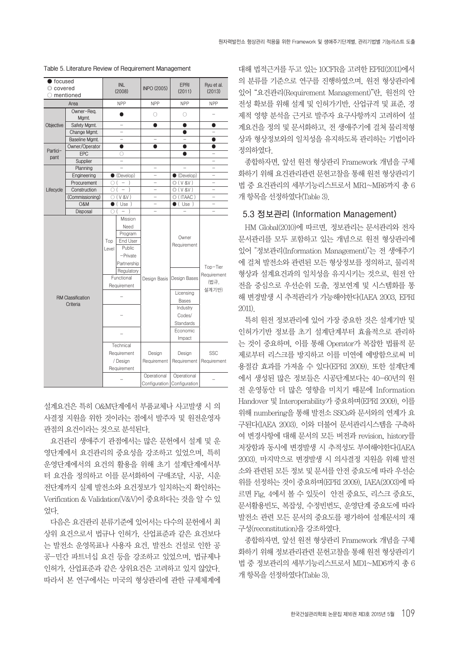| <b>O</b> focused |                          |              |                                                                                |                    |                             |                                 |  |
|------------------|--------------------------|--------------|--------------------------------------------------------------------------------|--------------------|-----------------------------|---------------------------------|--|
| © covered        |                          |              | <b>INL</b>                                                                     | <b>INPO (2005)</b> | <b>EPRI</b>                 | Ryu et al.                      |  |
|                  | mentioned                |              | (2008)                                                                         |                    | (2011)                      | (2013)                          |  |
|                  | Area                     |              | <b>NPP</b>                                                                     | <b>NPP</b>         | <b>NPP</b>                  | <b>NPP</b>                      |  |
|                  | Owner-Req.               |              | ●                                                                              | 0                  | О                           | $\overline{\phantom{0}}$        |  |
|                  | Mgmt.                    |              |                                                                                |                    |                             |                                 |  |
| Objective        | Safety Mgmt.             |              |                                                                                | $\bullet$          | 0                           | 0                               |  |
|                  | Change Mgmt.             |              |                                                                                |                    | ●                           |                                 |  |
|                  | Baseline Mgmt.           |              | $\overline{\phantom{0}}$                                                       | L.                 | $\overline{\phantom{0}}$    | 0                               |  |
| Partici-         | Owner/Operator           |              | ●                                                                              |                    | $\bullet$                   | O                               |  |
| pant             | EPC                      |              | O                                                                              |                    |                             |                                 |  |
|                  | Supplier                 |              |                                                                                |                    |                             |                                 |  |
|                  | Planning                 |              |                                                                                |                    |                             |                                 |  |
|                  | Engineering              |              | $\bullet$ (Develop)                                                            | L,                 | $\bullet$ (Develop)         |                                 |  |
|                  | Procurement              | 0 (          | $\hspace{0.1mm}-\hspace{0.1mm}$<br>$\lambda$                                   | -                  | O(V 8V)                     | $\equiv$                        |  |
| Lifecycle        | Construction             |              | $\bigcirc$ ( $-$<br>$\rightarrow$                                              |                    | O(V 8V)                     |                                 |  |
|                  | (Commissioning)          |              | $\bigcirc$ (V &V)                                                              |                    | © (ITAAC)                   |                                 |  |
|                  | <b>O&amp;M</b>           |              | $\bullet$ (Use)                                                                |                    | $\bullet$ (Use)             | $\overline{\phantom{0}}$        |  |
|                  | Disposal                 | O            | $\overline{ }$                                                                 |                    |                             |                                 |  |
|                  |                          | Top<br>Level | Mission<br>Need<br>Program<br>End User<br>Public<br>$-$ Private<br>Partnership |                    | Owner<br>Requirement        |                                 |  |
|                  |                          |              | Regulatory<br>Functional<br>Requirement                                        | Design Basis       | Design Bases                | Top-Tier<br>Requirement<br>(법규, |  |
|                  |                          |              |                                                                                |                    | Licensing                   | 설계기반)                           |  |
|                  | <b>RM Classification</b> |              |                                                                                |                    | <b>Bases</b>                |                                 |  |
|                  | Criteria                 |              |                                                                                |                    | Industry                    |                                 |  |
|                  |                          |              |                                                                                |                    | Codes/                      |                                 |  |
|                  |                          |              |                                                                                |                    | Standards                   |                                 |  |
|                  |                          |              |                                                                                |                    | Economic                    |                                 |  |
|                  |                          |              |                                                                                |                    | Impact                      |                                 |  |
|                  |                          |              | Technical                                                                      |                    |                             |                                 |  |
|                  |                          |              | Requirement                                                                    | Design             | Design                      | SSC                             |  |
|                  |                          |              | / Design                                                                       | Requirement        | Requirement                 | Requirement                     |  |
|                  |                          |              |                                                                                |                    |                             |                                 |  |
|                  |                          |              | Requirement                                                                    |                    |                             |                                 |  |
|                  |                          |              |                                                                                | Operational        | Operational                 |                                 |  |
|                  |                          |              |                                                                                |                    | Configuration Configuration |                                 |  |

**Table 5. Literature Review of Requirement Management**

설계요건은 특히 O&M단계에서 부품교체나 사고발생 시 의 사결정 지원을 위한 것이라는 점에서 발주자 및 원전운영자 관점의 요건이라는 것으로 분석된다.

요건관리 생애주기 관점에서는 많은 문헌에서 설계 및 운 영단계에서 요건관리의 중요성을 강조하고 있었으며, 특히 운영단계에서의 요건의 활용을 위해 초기 설계단계에서부 터 요건을 정의하고 이를 문서화하여 구매조달, 시공, 시운 전단계까지 실제 발전소와 요건정보가 일치하는지 확인하는 Verification & Validation(V&V)이 중요하다는 것을 알 수 있 었다.

다음은 요건관리 분류기준에 있어서는 다수의 문헌에서 최 상위 요건으로서 법규나 인허가, 산업표준과 같은 요건보다 는 발전소 운영목표나 사용자 요건, 발전소 건설로 인한 공 공-민간 파트너십 요건 등을 강조하고 있었으며, 법규제나 인허가, 산업표준과 같은 상위요건은 고려하고 있지 않았다. 따라서 본 연구에서는 미국의 형상관리에 관한 규제체계에

대해 법적근거를 두고 있는 10CFR을 고려한 EPRI(2011)에서 의 분류를 기준으로 연구를 진행하였으며, 원전 형상관리에 있어 "요건관리(Requirement Management)"란, 원전의 안 전성 확보를 위해 설계 및 인허가기반, 산업규격 및 표준, 경 제적 영향 분석을 근거로 발주자 요구사항까지 고려하여 설 계요건을 정의 및 문서화하고, 전 생애주기에 걸쳐 물리적형 상과 형상정보와의 일치성을 유지하도록 관리하는 기법이라 정의하였다.

종합하자면, 앞선 원전 형상관리 Framework 개념을 구체 화하기 위해 요건관리관련 문헌고찰을 통해 원전 형상관리기 법 중 요건관리의 세부기능리스트로서 MR1~MR6까지 총 6 개 항목을 선정하였다(Table 3).

#### **5.3 정보관리 (Information Management)**

HM Global(2010)에 따르면, 정보관리는 문서관리와 전자 문서관리를 모두 포함하고 있는 개념으로 원전 형상관리에 있어 "정보관리(Information Management)"는 전 생애주기 에 걸쳐 발전소와 관련된 모든 형상정보를 정의하고, 물리적 형상과 설계요건과의 일치성을 유지시키는 것으로, 원전 안 전을 중심으로 우선순위 도출, 정보연계 및 시스템화를 통 해 변경발생 시 추적관리가 가능해야한다(IAEA 2003, EPRI 2011).

특히 원전 정보관리에 있어 가장 중요한 것은 설계기반 및 인허가기반 정보를 초기 설계단계부터 효율적으로 관리하 는 것이 중요하며, 이를 통해 Operator가 복잡한 법률적 문 제로부터 리스크를 방지하고 이를 미연에 예방함으로써 비 용절감 효과를 가져올 수 있다(EPRI 2009). 또한 설계단계 에서 생성된 많은 정보들은 시공단계보다는 40-60년의 원 전 운영동안 더 많은 영향을 미치기 때문에 Information Handover 및 Interoperability가 중요하며(EPRI 2009), 이를 위해 numbering을 통해 발전소 SSCs와 문서와의 연계가 요 구된다(IAEA 2003). 이와 더불어 문서관리시스템을 구축하 여 변경사항에 대해 문서의 모든 버전과 revision, history를 저장함과 동시에 변경발생 시 추적성도 부여해야한다(IAEA 2003). 마지막으로 변경발생 시 의사결정 지원을 위해 발전 소와 관련된 모든 정보 및 문서를 안전 중요도에 따라 우선순 위를 선정하는 것이 중요하며(EPRI 2009), IAEA(2003)에 따 르면 Fig. 4에서 볼 수 있듯이 안전 중요도, 리스크 중요도, 문서활용빈도, 복잡성, 수정빈번도, 운영단계 중요도에 따라 발전소 관련 모든 문서의 중요도를 평가하여 설계문서의 재 구성(reconstitution)을 강조하였다.

종합하자면, 앞선 원전 형상관리 Framework 개념을 구체 화하기 위해 정보관리관련 문헌고찰을 통해 원전 형상관리기 법 중 정보관리의 세부기능리스트로서 MD1~MD6까지 총 6 개 항목을 선정하였다(Table 3).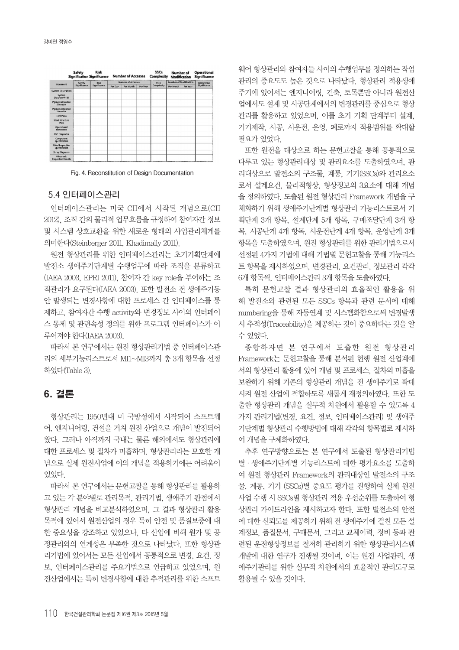|                                         | <b>Safety</b> | <b>Risk</b><br><b>Signification Significance</b> |         | <b>Number of Accesses</b> |          | <b>SSCs</b><br><b>Complexity</b> | <b>Number of</b><br><b>Modification</b> |             | <b>Operational</b><br><b>Significance</b> |
|-----------------------------------------|---------------|--------------------------------------------------|---------|---------------------------|----------|----------------------------------|-----------------------------------------|-------------|-------------------------------------------|
| Document                                | Safety        | Risk                                             |         | <b>Number of Accesses</b> |          | SSCs <sup>3</sup>                | <b>Number of Modification</b>           | Operational |                                           |
|                                         | Significance  | Significance                                     | Per Day | Per Month                 | Per Year | Complexity                       | Per Month                               | Per Year    | Significance                              |
| <b>System Description</b>               |               |                                                  |         |                           |          |                                  |                                         |             |                                           |
| System<br>Diagram/P+ID                  |               |                                                  |         |                           |          |                                  |                                         |             |                                           |
| <b>Piping Calculation</b><br>Isometric  |               |                                                  |         |                           |          |                                  |                                         |             |                                           |
| <b>Piping Fabrication</b><br>Isometric  |               |                                                  |         |                           |          |                                  |                                         |             |                                           |
| Civil Plans                             |               |                                                  |         |                           |          |                                  |                                         |             |                                           |
| <b>Steel Structure</b><br>Plan          |               |                                                  |         |                           |          |                                  |                                         |             |                                           |
| Operational<br>Handbook                 |               |                                                  |         |                           |          |                                  |                                         |             |                                           |
| <b>I&amp;C Diagrams</b>                 |               |                                                  |         |                           |          |                                  |                                         |             |                                           |
| Component<br>Specification              |               |                                                  |         |                           |          |                                  |                                         |             |                                           |
| <b>Weld Inspection</b><br>Specification |               |                                                  |         |                           |          |                                  |                                         |             |                                           |
| X-ray Diagrams                          |               |                                                  |         |                           |          |                                  |                                         |             |                                           |
| Ultrasonic<br><b>Inspection Results</b> |               |                                                  |         |                           |          |                                  |                                         |             |                                           |



#### **5.4 인터페이스관리**

인터페이스관리는 미국 CII에서 시작된 개념으로(CII 2012), 조직 간의 물리적 업무흐름을 규정하여 참여자간 정보 및 시스템 상호교환을 위한 새로운 형태의 사업관리체계를 의미한다(Steinberger 2011, Khadimally 2011).

원전 형상관리를 위한 인터페이스관리는 초기기획단계에 발전소 생애주기단계별 수행업무에 따라 조직을 분류하고 (IAEA 2003, EPRI 2011), 참여자 간 key role을 부여하는 조 직관리가 요구된다(IAEA 2003). 또한 발전소 전 생애주기동 안 발생되는 변경사항에 대한 프로세스 간 인터페이스를 통 제하고, 참여자간 수행 activity와 변경정보 사이의 인터페이 스 통제 및 관련속성 정의를 위한 프로그램 인터페이스가 이 루어져야 한다(IAEA 2003).

따라서 본 연구에서는 원전 형상관리기법 중 인터페이스관 리의 세부기능리스트로서 MI1~MI3까지 총 3개 항목을 선정 하였다(Table 3).

### 6. 결론

형상관리는 1950년대 미 국방성에서 시작되어 소프트웨 어, 엔지니어링, 건설을 거쳐 원전 산업으로 개념이 발전되어 왔다. 그러나 아직까지 국내는 물론 해외에서도 형상관리에 대한 프로세스 및 절차가 미흡하며, 형상관리라는 모호한 개 념으로 실제 원전사업에 이의 개념을 적용하기에는 어려움이 있었다.

따라서 본 연구에서는 문헌고찰을 통해 형상관리를 활용하 고 있는 각 분야별로 관리목적, 관리기법, 생애주기 관점에서 형상관리 개념을 비교분석하였으며, 그 결과 형상관리 활용 목적에 있어서 원전산업의 경우 특히 안전 및 품질보증에 대 한 중요성을 강조하고 있었으나, 타 산업에 비해 원가 및 공 정관리와의 연계성은 부족한 것으로 나타났다. 또한 형상관 리기법에 있어서는 모든 산업에서 공통적으로 변경, 요건, 정 보, 인터페이스관리를 주요기법으로 언급하고 있었으며, 원 전산업에서는 특히 변경사항에 대한 추적관리를 위한 소프트

웨어 형상관리와 참여자들 사이의 수행업무를 정의하는 작업 관리의 중요도도 높은 것으로 나타났다. 형상관리 적용생애 주기에 있어서는 엔지니어링, 건축, 토목뿐만 아니라 원전산 업에서도 설계 및 시공단계에서의 변경관리를 중심으로 형상 관리를 활용하고 있었으며, 이를 초기 기획 단계부터 설계, 기기제작, 시공, 시운전, 운영, 폐로까지 적용범위를 확대할 필요가 있었다.

또한 원전을 대상으로 하는 문헌고찰을 통해 공통적으로 다루고 있는 형상관리대상 및 관리요소를 도출하였으며, 관 리대상으로 발전소의 구조물, 계통, 기기(SSCs)와 관리요소 로서 설계요건, 물리적형상, 형상정보의 3요소에 대해 개념 을 정의하였다. 도출된 원전 형상관리 Framework 개념을 구 체화하기 위해 생애주기단계별 형상관리 기능리스트로서 기 획단계 3개 항목, 설계단계 5개 항목, 구매조달단계 3개 항 목, 시공단계 4개 항목, 시운전단계 4개 항목, 운영단계 3개 항목을 도출하였으며, 원전 형상관리를 위한 관리기법으로서 선정된 4가지 기법에 대해 기법별 문헌고찰을 통해 기능리스 트 항목을 제시하였으며, 변경관리, 요건관리, 정보관리 각각 6개 항목씩, 인터페이스관리 3개 항목을 도출하였다.

특히 문헌고찰 결과 형상관리의 효율적인 활용을 위 해 발전소와 관련된 모든 SSCs 항목과 관련 문서에 대해 numbering을 통해 자동연계 및 시스템화함으로써 변경발생 시 추적성(Traceability)을 제공하는 것이 중요하다는 것을 알 수 있었다.

종합하자면 본 연구에서 도출한 원전 형상관리 Framework는 문헌고찰을 통해 분석된 현행 원전 산업계에 서의 형상관리 활용에 있어 개념 및 프로세스, 절차의 미흡을 보완하기 위해 기존의 형상관리 개념을 전 생애주기로 확대 시켜 원전 산업에 적합하도록 새롭게 재정의하였다. 또한 도 출한 형상관리 개념을 실무적 차원에서 활용할 수 있도록 4 가지 관리기법(변경, 요건, 정보, 인터페이스관리) 및 생애주 기단계별 형상관리 수행방법에 대해 각각의 항목별로 제시하 여 개념을 구체화하였다.

추후 연구방향으로는 본 연구에서 도출된 형상관리기법 별·생애주기단계별 기능리스트에 대한 평가요소를 도출하 여 원전 형상관리 Framework의 관리대상인 발전소의 구조 물, 계통, 기기 (SSCs)별 중요도 평가를 진행하여 실제 원전 사업 수행 시 SSCs별 형상관리 적용 우선순위를 도출하여 형 상관리 가이드라인을 제시하고자 한다. 또한 발전소의 안전 에 대한 신뢰도를 제공하기 위해 전 생애주기에 걸친 모든 설 계정보, 품질문서, 구매문서, 그리고 교체이력, 정비 등과 관 련된 운전형상정보를 철저히 관리하기 위한 형상관리시스템 개발에 대한 연구가 진행될 것이며, 이는 원전 사업관리, 생 애주기관리를 위한 실무적 차원에서의 효율적인 관리도구로 활용될 수 있을 것이다.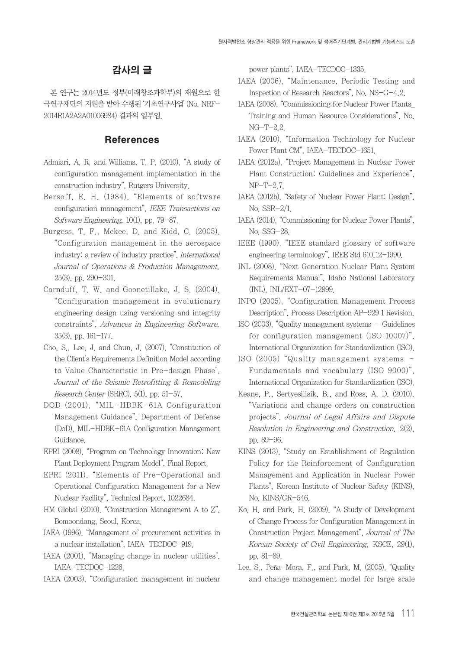# 감사의 글

본 연구는 2014년도 정부(미래창조과학부)의 재원으로 한 국연구재단의 지원을 받아 수행된 '기초연구사업' (No. NRF-2014R1A2A2A01006984) 결과의 일부임.

### References

- Admiari, A. R. and Williams, T. P. (2010). "A study of configuration management implementation in the construction industry", Rutgers University.
- Bersoff, E. H. (1984). "Elements of software configuration management", IEEE Transactions on Software Engineering, 10(1), pp. 79-87.
- Burgess, T. F., Mckee, D. and Kidd, C. (2005). "Configuration management in the aerospace industry: a review of industry practice", International Journal of Operations & Production Management, 25(3), pp. 290-301.
- Carnduff, T. W. and Goonetillake, J. S. (2004). "Configuration management in evolutionary engineering design using versioning and integrity constraints", Advances in Engineering Software, 35(3), pp. 161-177.
- Cho, S., Lee, J. and Chun, J. (2007). "Constitution of the Client's Requirements Definition Model according to Value Characteristic in Pre-design Phase", Journal of the Seismic Retrofitting & Remodeling Research Center (SRRC), 5(1), pp. 51-57.
- DOD (2001). "MIL-HDBK-61A Configuration Management Guidance", Department of Defense (DoD), MIL-HDBK-61A Configuration Management Guidance.
- EPRI (2008). "Program on Technology Innovation: New Plant Deployment Program Model", Final Report.
- EPRI (2011). "Elements of Pre-Operational and Operational Configuration Management for a New Nuclear Facility", Technical Report, 1022684.
- HM Global (2010). "Construction Management A to Z", Bomoondang, Seoul, Korea.
- IAEA (1996). "Management of procurement activities in a nuclear installation", IAEA-TECDOC-919.
- IAEA (2001). "Managing change in nuclear utilities", IAEA-TECDOC-1226.
- IAEA (2003). "Configuration management in nuclear

power plants", IAEA-TECDOC-1335.

- IAEA (2006). "Maintenance, Periodic Testing and Inspection of Research Reactors", No. NS-G-4.2.
- IAEA (2008). "Commissioning for Nuclear Power Plants\_ Training and Human Resource Considerations", No. NG-T-2.2.
- IAEA (2010). "Information Technology for Nuclear Power Plant CM", IAEA-TECDOC-1651.
- IAEA (2012a). "Project Management in Nuclear Power Plant Construction: Guidelines and Experience",  $NP-T-2.7$
- IAEA (2012b). "Safety of Nuclear Power Plant: Design", No. SSR-2/1.
- IAEA (2014). "Commissioning for Nuclear Power Plants", No. SSG-28.
- IEEE (1990). "IEEE standard glossary of software engineering terminology", IEEE Std 610.12-1990.
- INL (2008). "Next Generation Nuclear Plant System Requirements Manual", Idaho National Laboratory (INL), INL/EXT-07-12999.
- INPO (2005). "Configuration Management Process Description", Process Description AP-929 1 Revision.
- ISO (2003). "Quality management systems Guidelines for configuration management (ISO 10007)", International Organization for Standardization (ISO).
- ISO (2005) "Quality management systems Fundamentals and vocabulary (ISO 9000)", International Organization for Standardization (ISO).
- Keane, P., Sertyesilisik, B., and Ross, A. D. (2010). "Variations and change orders on construction projects", Journal of Legal Affairs and Dispute Resolution in Engineering and Construction, 2(2), pp. 89-96.
- KINS (2013). "Study on Establishment of Regulation Policy for the Reinforcement of Configuration Management and Application in Nuclear Power Plants", Korean Institute of Nuclear Safety (KINS), No. KINS/GR-546.
- Ko, H. and Park, H. (2009). "A Study of Development of Change Process for Configuration Management in Construction Project Management", Journal of The Korean Society of Civil Engineering, KSCE, 29(1), pp. 81-89.
- Lee, S., Peña-Mora, F., and Park, M. (2005). "Quality and change management model for large scale